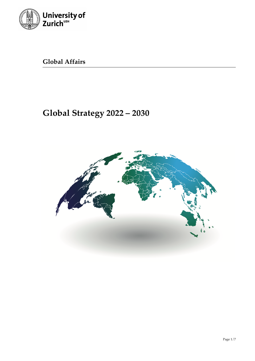

**Global Affairs**

# **Global Strategy 2022 – 2030**

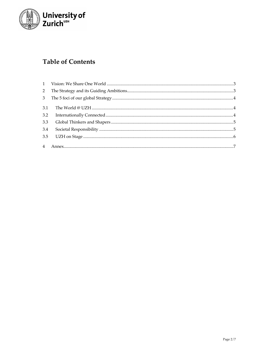

# **Table of Contents**

| $2^{\circ}$    |  |
|----------------|--|
| 3 <sup>7</sup> |  |
| 3.1            |  |
| 3.2            |  |
| 3.3            |  |
| 3.4            |  |
|                |  |
|                |  |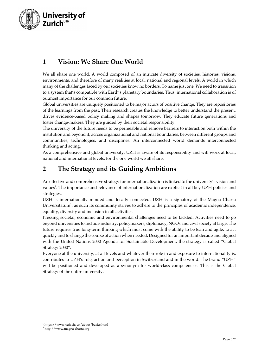

# **1 Vision: We Share One World**

We all share one world. A world composed of an intricate diversity of societies, histories, visions, environments, and therefore of many realities at local, national and regional levels. A world in which many of the challenges faced by our societies know no borders. To name just one: We need to transition to a system that's compatible with Earth's planetary boundaries. Thus, international collaboration is of outmost importance for our common future.

Global universities are uniquely positioned to be major actors of positive change. They are repositories of the learnings from the past. Their research creates the knowledge to better understand the present, drives evidence-based policy making and shapes tomorrow. They educate future generations and foster change-makers. They are guided by their societal responsibility.

The university of the future needs to be permeable and remove barriers to interaction both within the institution and beyond it, across organizational and national boundaries, between different groups and communities, technologies, and disciplines. An interconnected world demands interconnected thinking and acting.

As a comprehensive and global university, UZH is aware of its responsibility and will work at local, national and international levels, for the one world we all share.

## **2 The Strategy and its Guiding Ambitions**

An effective and comprehensive strategy for internationalization is linked to the university's vision and values<sup>1</sup>. The importance and relevance of internationalization are explicit in all key UZH policies and strategies.

UZH is internationally minded and locally connected. UZH is a signatory of the Magna Charta Universitatum<sup>2</sup>: as such its community strives to adhere to the principles of academic independence, equality, diversity and inclusion in all activities.

Pressing societal, economic and environmental challenges need to be tackled. Activities need to go beyond universities to include industry, policymakers, diplomacy, NGOs and civil society at large. The future requires true long-term thinking which must come with the ability to be lean and agile, to act quickly and to change the course of action when needed. Designed for an important decade and aligned with the United Nations 2030 Agenda for Sustainable Development, the strategy is called "Global Strategy 2030".

Everyone at the university, at all levels and whatever their role in and exposure to internationality is, contributes to UZH's role, action and perception in Switzerland and in the world. The brand "UZH" will be positioned and developed as a synonym for world-class competencies. This is the Global Strategy of the entire university.

<sup>1</sup> https://www.uzh.ch/en/about/basics.html

<sup>2</sup> http://www.magna-charta.org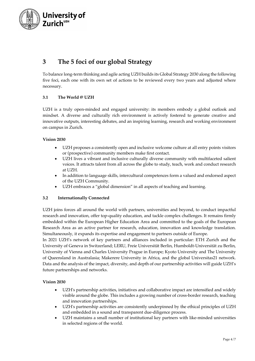

# **3 The 5 foci of our global Strategy**

To balance long-term thinking and agile acting UZH builds its Global Strategy 2030 along the following five foci, each one with its own set of actions to be reviewed every two years and adjusted where necessary.

#### **3.1 The World @ UZH**

UZH is a truly open-minded and engaged university: its members embody a global outlook and mindset. A diverse and culturally rich environment is actively fostered to generate creative and innovative outputs, interesting debates, and an inspiring learning, research and working environment on campus in Zurich.

#### **Vision 2030**

- UZH proposes a consistently open and inclusive welcome culture at all entry points visitors or (prospective) community members make first contact.
- UZH lives a vibrant and inclusive culturally diverse community with multifaceted salient voices. It attracts talent from all across the globe to study, teach, work and conduct research at UZH.
- In addition to language skills, intercultural competences form a valued and endorsed aspect of the UZH Community.
- UZH embraces a "global dimension" in all aspects of teaching and learning.

#### **3.2 Internationally Connected**

UZH joins forces all around the world with partners, universities and beyond, to conduct impactful research and innovation, offer top-quality education, and tackle complex challenges. It remains firmly embedded within the European Higher Education Area and committed to the goals of the European Research Area as an active partner for research, education, innovation and knowledge translation. Simultaneously, it expands its expertise and engagement to partners outside of Europe.

In 2021 UZH's network of key partners and alliances included in particular: ETH Zurich and the University of Geneva in Switzerland; LERU, Freie Universität Berlin, Humboldt-Universität zu Berlin, University of Vienna and Charles University Prague in Europe; Kyoto University and The University of Queensland in Australasia; Makerere University in Africa, and the global Universitas21 network. Data and the analysis of the impact, diversity, and depth of our partnership activities will guide UZH's future partnerships and networks.

#### **Vision 2030**

- UZH's partnership activities, initiatives and collaborative impact are intensified and widely visible around the globe. This includes a growing number of cross-border research, teaching and innovation partnerships.
- UZH's partnership activities are consistently underpinned by the ethical principles of UZH and embedded in a sound and transparent due-diligence process.
- UZH maintains a small number of institutional key partners with like-minded universities in selected regions of the world.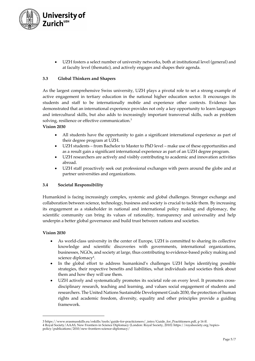

• UZH fosters a select number of university networks, both at institutional level (general) and at faculty level (thematic), and actively engages and shapes their agenda.

#### **3.3 Global Thinkers and Shapers**

As the largest comprehensive Swiss university, UZH plays a pivotal role to set a strong example of active engagement in tertiary education in the national higher education sector. It encourages its students and staff to be internationally mobile and experience other contexts. Evidence has demonstrated that an international experience provides not only a key opportunity to learn languages and intercultural skills, but also adds to increasingly important transversal skills, such as problem solving, resilience or effective communication.<sup>3</sup>

#### **Vision 2030**

- All students have the opportunity to gain a significant international experience as part of their degree program at UZH.
- UZH students from Bachelor to Master to PhD level make use of these opportunities and as a result gain a significant international experience as part of an UZH degree program.
- UZH researchers are actively and visibly contributing to academic and innovation activities abroad.
- UZH staff proactively seek out professional exchanges with peers around the globe and at partner universities and organizations.

#### **3.4 Societal Responsibility**

Humankind is facing increasingly complex, systemic and global challenges. Stronger exchange and collaboration between science, technology, business and society is crucial to tackle them. By increasing its engagement as a stakeholder in national and international policy making and diplomacy, the scientific community can bring its values of rationality, transparency and universality and help underpin a better global governance and build trust between nations and societies.

#### **Vision 2030**

- As world-class university in the center of Europe, UZH is committed to sharing its collective knowledge and scientific discoveries with governments, international organizations, businesses, NGOs, and society at large, thus contributing to evidence-based policy making and science diplomacy<sup>4</sup>.
- In the global effort to address humankind's challenges UZH helps identifying possible strategies, their respective benefits and liabilities, what individuals and societies think about them and how they will use them.
- UZH actively and systematically promotes its societal role on every level. It promotes crossdisciplinary research, teaching and learning, and values social engagement of students and researchers. The United Nations Sustainable Development Goals 2030, the protection of human rights and academic freedom, diversity, equality and other principles provide a guiding framework.

<sup>3</sup> https://www.erasmusskills.eu/eskills/tools/guide-for-practicioners/\_intro/Guide\_for\_Practitioners.pdf, p 16 ff. 4 Royal Society/AAAS, New Frontiers in Science Diplomacy (London: Royal Society, 2010): https://royalsociety.org/topicspolicy/publications/2010/new-frontiers-science-diplomacy/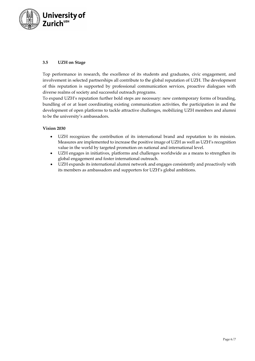

#### **3.5 UZH on Stage**

Top performance in research, the excellence of its students and graduates, civic engagement, and involvement in selected partnerships all contribute to the global reputation of UZH. The development of this reputation is supported by professional communication services, proactive dialogues with diverse realms of society and successful outreach programs.

To expand UZH's reputation further bold steps are necessary: new contemporary forms of branding, bundling of or at least coordinating existing communication activities, the participation in and the development of open platforms to tackle attractive challenges, mobilizing UZH members and alumni to be the university's ambassadors.

#### **Vision 2030**

- UZH recognizes the contribution of its international brand and reputation to its mission. Measures are implemented to increase the positive image of UZH as well as UZH's recognition value in the world by targeted promotion on national and international level.
- UZH engages in initiatives, platforms and challenges worldwide as a means to strengthen its global engagement and foster international outreach.
- UZH expands its international alumni network and engages consistently and proactively with its members as ambassadors and supporters for UZH's global ambitions.